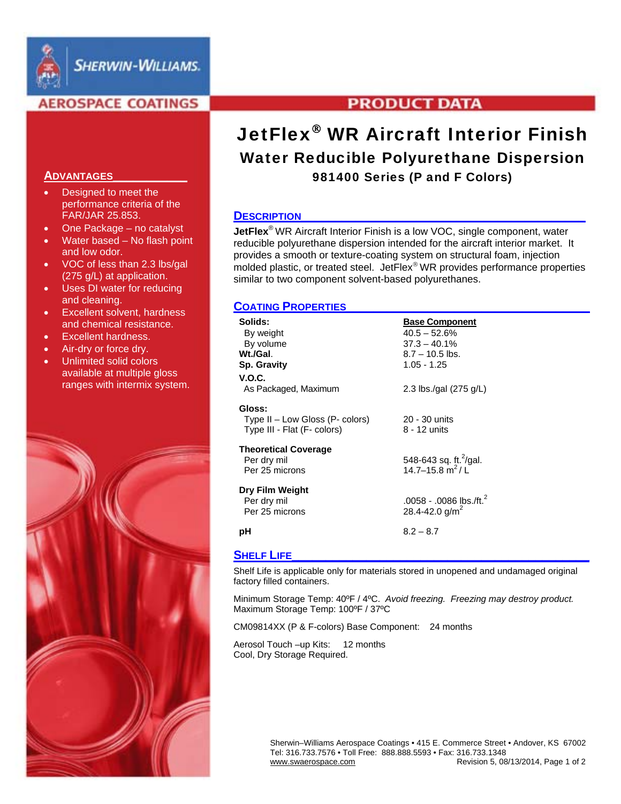

# **AEROSPACE COATINGS**

## **ADVANTAGES\_\_\_\_\_\_\_\_\_\_\_**

- Designed to meet the performance criteria of the FAR/JAR 25.853.
- One Package no catalyst
- Water based No flash point and low odor.
- VOC of less than 2.3 lbs/gal (275 g/L) at application.
- Uses DI water for reducing and cleaning.
- **Excellent solvent, hardness** and chemical resistance.
- Excellent hardness.
- Air-dry or force dry.
- Unlimited solid colors available at multiple gloss ranges with intermix system.



# **PRODUCT DATA**

# JetFlex<sup>®</sup> WR Aircraft Interior Finish Water Reducible Polyurethane Dispersion 981400 Series (P and F Colors)

### DESCRIPTION\_

**JetFlex**® WR Aircraft Interior Finish is a low VOC, single component, water reducible polyurethane dispersion intended for the aircraft interior market. It provides a smooth or texture-coating system on structural foam, injection molded plastic, or treated steel. Jet $Flex^{\circledast}$  WR provides performance properties similar to two component solvent-based polyurethanes.

## **COATING PROPERTIES\_\_\_\_\_\_\_\_\_\_\_\_\_\_\_\_\_\_\_\_\_\_\_\_\_\_\_\_\_\_\_\_\_\_\_\_**

| Solids:<br>By weight<br>By volume<br>Wt./Gal.<br><b>Sp. Gravity</b>         | <b>Base Component</b><br>$40.5 - 52.6%$<br>$37.3 - 40.1\%$<br>$8.7 - 10.5$ lbs.<br>$1.05 - 1.25$ |
|-----------------------------------------------------------------------------|--------------------------------------------------------------------------------------------------|
| V.O.C.<br>As Packaged, Maximum                                              | 2.3 lbs./gal (275 g/L)                                                                           |
| Gloss:<br>Type $II - Low Glass (P - colors)$<br>Type III - Flat (F- colors) | 20 - 30 units<br>8 - 12 units                                                                    |
| Theoretical Coverage<br>Per dry mil<br>Per 25 microns                       | 548-643 sq. ft. $^{2}/$ gal.<br>14.7–15.8 $m^2/L$                                                |
| Dry Film Weight<br>Per dry mil<br>Per 25 microns                            | .0058 - .0086 lbs./ft. <sup>2</sup><br>28.4-42.0 g/m <sup>2</sup>                                |
| рH                                                                          | $8.2 - 8.7$                                                                                      |
|                                                                             |                                                                                                  |

# **SHELF LIFE**

Shelf Life is applicable only for materials stored in unopened and undamaged original factory filled containers.

Minimum Storage Temp: 40ºF / 4ºC. *Avoid freezing. Freezing may destroy product.*  Maximum Storage Temp: 100ºF / 37ºC

CM09814XX (P & F-colors) Base Component: 24 months

Aerosol Touch –up Kits: 12 months Cool, Dry Storage Required.